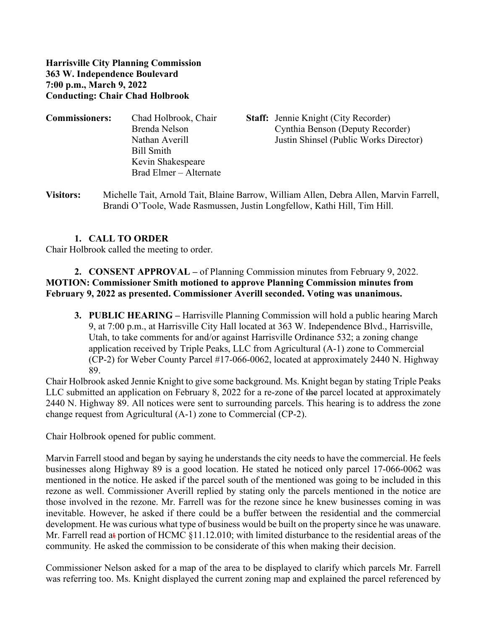**Harrisville City Planning Commission 363 W. Independence Boulevard 7:00 p.m., March 9, 2022 Conducting: Chair Chad Holbrook**

| <b>Commissioners:</b> | Chad Holbrook, Chair   | <b>Staff:</b> Jennie Knight (City Recorder) |
|-----------------------|------------------------|---------------------------------------------|
|                       | Brenda Nelson          | Cynthia Benson (Deputy Recorder)            |
|                       | Nathan Averill         | Justin Shinsel (Public Works Director)      |
|                       | Bill Smith             |                                             |
|                       | Kevin Shakespeare      |                                             |
|                       | Brad Elmer – Alternate |                                             |

**Visitors:** Michelle Tait, Arnold Tait, Blaine Barrow, William Allen, Debra Allen, Marvin Farrell, Brandi O'Toole, Wade Rasmussen, Justin Longfellow, Kathi Hill, Tim Hill.

## **1. CALL TO ORDER**

Chair Holbrook called the meeting to order.

## **2. CONSENT APPROVAL –** of Planning Commission minutes from February 9, 2022. **MOTION: Commissioner Smith motioned to approve Planning Commission minutes from February 9, 2022 as presented. Commissioner Averill seconded. Voting was unanimous.**

**3. PUBLIC HEARING –** Harrisville Planning Commission will hold a public hearing March 9, at 7:00 p.m., at Harrisville City Hall located at 363 W. Independence Blvd., Harrisville, Utah, to take comments for and/or against Harrisville Ordinance 532; a zoning change application received by Triple Peaks, LLC from Agricultural (A-1) zone to Commercial (CP-2) for Weber County Parcel #17-066-0062, located at approximately 2440 N. Highway 89.

Chair Holbrook asked Jennie Knight to give some background. Ms. Knight began by stating Triple Peaks LLC submitted an application on February 8, 2022 for a re-zone of the parcel located at approximately 2440 N. Highway 89. All notices were sent to surrounding parcels. This hearing is to address the zone change request from Agricultural (A-1) zone to Commercial (CP-2).

Chair Holbrook opened for public comment.

Marvin Farrell stood and began by saying he understands the city needs to have the commercial. He feels businesses along Highway 89 is a good location. He stated he noticed only parcel 17-066-0062 was mentioned in the notice. He asked if the parcel south of the mentioned was going to be included in this rezone as well. Commissioner Averill replied by stating only the parcels mentioned in the notice are those involved in the rezone. Mr. Farrell was for the rezone since he knew businesses coming in was inevitable. However, he asked if there could be a buffer between the residential and the commercial development. He was curious what type of business would be built on the property since he was unaware. Mr. Farrell read at portion of HCMC §11.12.010; with limited disturbance to the residential areas of the community*.* He asked the commission to be considerate of this when making their decision.

Commissioner Nelson asked for a map of the area to be displayed to clarify which parcels Mr. Farrell was referring too. Ms. Knight displayed the current zoning map and explained the parcel referenced by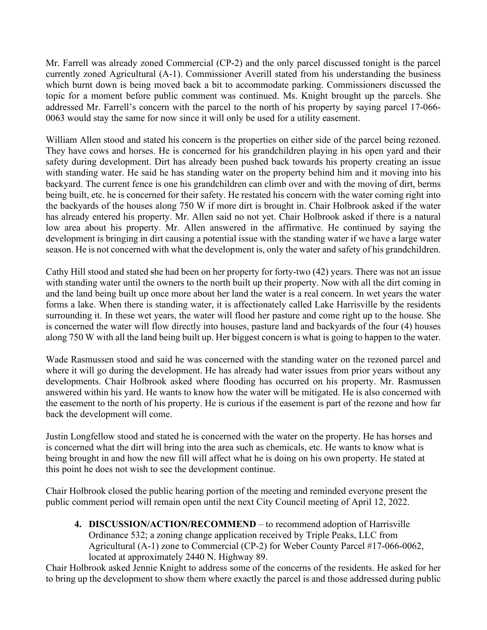Mr. Farrell was already zoned Commercial (CP-2) and the only parcel discussed tonight is the parcel currently zoned Agricultural (A-1). Commissioner Averill stated from his understanding the business which burnt down is being moved back a bit to accommodate parking. Commissioners discussed the topic for a moment before public comment was continued. Ms. Knight brought up the parcels. She addressed Mr. Farrell's concern with the parcel to the north of his property by saying parcel 17-066- 0063 would stay the same for now since it will only be used for a utility easement.

William Allen stood and stated his concern is the properties on either side of the parcel being rezoned. They have cows and horses. He is concerned for his grandchildren playing in his open yard and their safety during development. Dirt has already been pushed back towards his property creating an issue with standing water. He said he has standing water on the property behind him and it moving into his backyard. The current fence is one his grandchildren can climb over and with the moving of dirt, berms being built, etc. he is concerned for their safety. He restated his concern with the water coming right into the backyards of the houses along 750 W if more dirt is brought in. Chair Holbrook asked if the water has already entered his property. Mr. Allen said no not yet. Chair Holbrook asked if there is a natural low area about his property. Mr. Allen answered in the affirmative. He continued by saying the development is bringing in dirt causing a potential issue with the standing water if we have a large water season. He is not concerned with what the development is, only the water and safety of his grandchildren.

Cathy Hill stood and stated she had been on her property for forty-two (42) years. There was not an issue with standing water until the owners to the north built up their property. Now with all the dirt coming in and the land being built up once more about her land the water is a real concern. In wet years the water forms a lake. When there is standing water, it is affectionately called Lake Harrisville by the residents surrounding it. In these wet years, the water will flood her pasture and come right up to the house. She is concerned the water will flow directly into houses, pasture land and backyards of the four (4) houses along 750 W with all the land being built up. Her biggest concern is what is going to happen to the water.

Wade Rasmussen stood and said he was concerned with the standing water on the rezoned parcel and where it will go during the development. He has already had water issues from prior years without any developments. Chair Holbrook asked where flooding has occurred on his property. Mr. Rasmussen answered within his yard. He wants to know how the water will be mitigated. He is also concerned with the easement to the north of his property. He is curious if the easement is part of the rezone and how far back the development will come.

Justin Longfellow stood and stated he is concerned with the water on the property. He has horses and is concerned what the dirt will bring into the area such as chemicals, etc. He wants to know what is being brought in and how the new fill will affect what he is doing on his own property. He stated at this point he does not wish to see the development continue.

Chair Holbrook closed the public hearing portion of the meeting and reminded everyone present the public comment period will remain open until the next City Council meeting of April 12, 2022.

**4. DISCUSSION/ACTION/RECOMMEND** – to recommend adoption of Harrisville Ordinance 532; a zoning change application received by Triple Peaks, LLC from Agricultural (A-1) zone to Commercial (CP-2) for Weber County Parcel #17-066-0062, located at approximately 2440 N. Highway 89.

Chair Holbrook asked Jennie Knight to address some of the concerns of the residents. He asked for her to bring up the development to show them where exactly the parcel is and those addressed during public